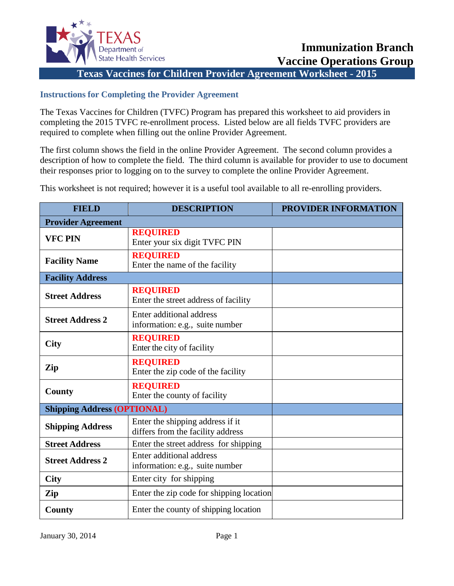

**Texas Vaccines for Children Provider Agreement Worksheet - 2015**

## **Instructions for Completing the Provider Agreement**

The Texas Vaccines for Children (TVFC) Program has prepared this worksheet to aid providers in completing the 2015 TVFC re-enrollment process. Listed below are all fields TVFC providers are required to complete when filling out the online Provider Agreement.

The first column shows the field in the online Provider Agreement. The second column provides a description of how to complete the field. The third column is available for provider to use to document their responses prior to logging on to the survey to complete the online Provider Agreement.

This worksheet is not required; however it is a useful tool available to all re-enrolling providers.

| <b>FIELD</b>                       | <b>DESCRIPTION</b>                                                    | <b>PROVIDER INFORMATION</b> |
|------------------------------------|-----------------------------------------------------------------------|-----------------------------|
| <b>Provider Agreement</b>          |                                                                       |                             |
| <b>VFC PIN</b>                     | <b>REQUIRED</b><br>Enter your six digit TVFC PIN                      |                             |
| <b>Facility Name</b>               | <b>REQUIRED</b><br>Enter the name of the facility                     |                             |
| <b>Facility Address</b>            |                                                                       |                             |
| <b>Street Address</b>              | <b>REQUIRED</b><br>Enter the street address of facility               |                             |
| <b>Street Address 2</b>            | <b>Enter additional address</b><br>information: e.g., suite number    |                             |
| <b>City</b>                        | <b>REQUIRED</b><br>Enter the city of facility                         |                             |
| Zip                                | <b>REQUIRED</b><br>Enter the zip code of the facility                 |                             |
| County                             | <b>REQUIRED</b><br>Enter the county of facility                       |                             |
| <b>Shipping Address (OPTIONAL)</b> |                                                                       |                             |
| <b>Shipping Address</b>            | Enter the shipping address if it<br>differs from the facility address |                             |
| <b>Street Address</b>              | Enter the street address for shipping                                 |                             |
| <b>Street Address 2</b>            | Enter additional address<br>information: e.g., suite number           |                             |
| <b>City</b>                        | Enter city for shipping                                               |                             |
| Zip                                | Enter the zip code for shipping location                              |                             |
| County                             | Enter the county of shipping location                                 |                             |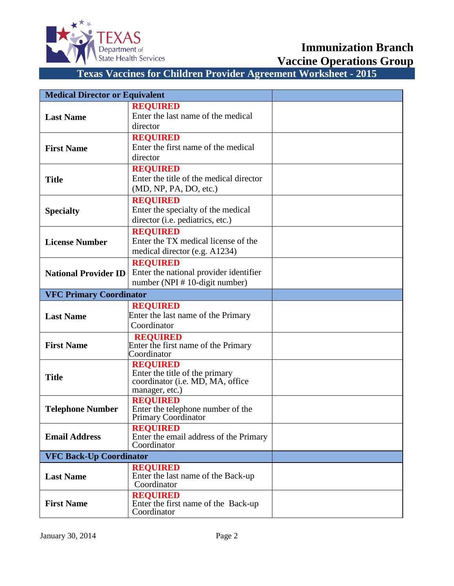

**Immunization Branch**

**Vaccine Operations Group**

| <b>Medical Director or Equivalent</b> |                                                        |  |
|---------------------------------------|--------------------------------------------------------|--|
|                                       | <b>REQUIRED</b>                                        |  |
| <b>Last Name</b>                      | Enter the last name of the medical<br>director         |  |
|                                       | <b>REQUIRED</b>                                        |  |
| <b>First Name</b>                     | Enter the first name of the medical                    |  |
|                                       | director                                               |  |
|                                       | <b>REQUIRED</b>                                        |  |
| <b>Title</b>                          | Enter the title of the medical director                |  |
|                                       | (MD, NP, PA, DO, etc.)                                 |  |
|                                       | <b>REQUIRED</b>                                        |  |
| <b>Specialty</b>                      | Enter the specialty of the medical                     |  |
|                                       | director (i.e. pediatrics, etc.)                       |  |
|                                       | <b>REQUIRED</b><br>Enter the TX medical license of the |  |
| <b>License Number</b>                 | medical director (e.g. A1234)                          |  |
|                                       | <b>REQUIRED</b>                                        |  |
| <b>National Provider ID</b>           | Enter the national provider identifier                 |  |
|                                       | number (NPI # 10-digit number)                         |  |
| <b>VFC Primary Coordinator</b>        |                                                        |  |
|                                       | <b>REQUIRED</b>                                        |  |
| <b>Last Name</b>                      | Enter the last name of the Primary                     |  |
|                                       | Coordinator                                            |  |
|                                       | <b>REQUIRED</b>                                        |  |
| <b>First Name</b>                     | Enter the first name of the Primary<br>Coordinator     |  |
|                                       | <b>REQUIRED</b>                                        |  |
| <b>Title</b>                          | Enter the title of the primary                         |  |
|                                       | coordinator (i.e. MD, MA, office                       |  |
|                                       | manager, etc.)<br><b>REQUIRED</b>                      |  |
| <b>Telephone Number</b>               | Enter the telephone number of the                      |  |
|                                       | Primary Coordinator                                    |  |
|                                       | <b>REQUIRED</b>                                        |  |
| <b>Email Address</b>                  | Enter the email address of the Primary<br>Coordinator  |  |
| <b>VFC Back-Up Coordinator</b>        |                                                        |  |
|                                       | <b>REQUIRED</b>                                        |  |
| <b>Last Name</b>                      | Enter the last name of the Back-up<br>Coordinator      |  |
|                                       | <b>REQUIRED</b>                                        |  |
| <b>First Name</b>                     | Enter the first name of the Back-up                    |  |
|                                       | Coordinator                                            |  |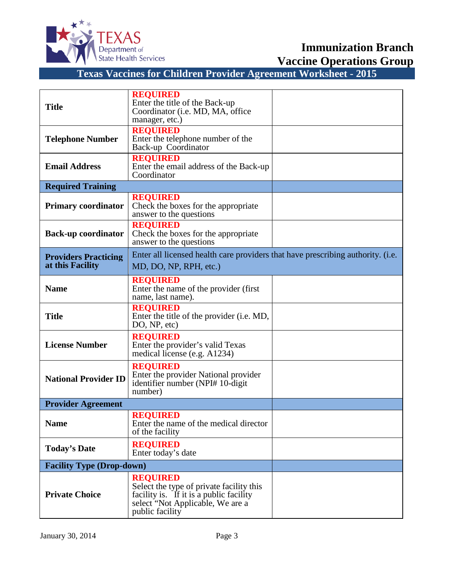

**Vaccine Operations Group**

| <b>Title</b>                                    | <b>REQUIRED</b><br>Enter the title of the Back-up<br>Coordinator (i.e. MD, MA, office<br>manager, etc.)                                                       |  |
|-------------------------------------------------|---------------------------------------------------------------------------------------------------------------------------------------------------------------|--|
| <b>Telephone Number</b>                         | <b>REQUIRED</b><br>Enter the telephone number of the<br>Back-up Coordinator                                                                                   |  |
| <b>Email Address</b>                            | <b>REQUIRED</b><br>Enter the email address of the Back-up<br>Coordinator                                                                                      |  |
| <b>Required Training</b>                        |                                                                                                                                                               |  |
| <b>Primary coordinator</b>                      | <b>REQUIRED</b><br>Check the boxes for the appropriate<br>answer to the questions                                                                             |  |
| <b>Back-up coordinator</b>                      | <b>REQUIRED</b><br>Check the boxes for the appropriate<br>answer to the questions                                                                             |  |
| <b>Providers Practicing</b><br>at this Facility | Enter all licensed health care providers that have prescribing authority. (i.e.<br>MD, DO, NP, RPH, etc.)                                                     |  |
| <b>Name</b>                                     | <b>REQUIRED</b><br>Enter the name of the provider (first)<br>name, last name).                                                                                |  |
| <b>Title</b>                                    | <b>REQUIRED</b><br>Enter the title of the provider (i.e. MD,<br>DO, NP, etc)                                                                                  |  |
| <b>License Number</b>                           | <b>REQUIRED</b><br>Enter the provider's valid Texas<br>medical license (e.g. A1234)                                                                           |  |
| <b>National Provider ID</b>                     | <b>REQUIRED</b><br>Enter the provider National provider<br>identifier number (NPI# 10-digit<br>number)                                                        |  |
| <b>Provider Agreement</b>                       |                                                                                                                                                               |  |
| <b>Name</b>                                     | <b>REQUIRED</b><br>Enter the name of the medical director<br>of the facility                                                                                  |  |
| <b>Today's Date</b>                             | <b>REQUIRED</b><br>Enter today's date                                                                                                                         |  |
| <b>Facility Type (Drop-down)</b>                |                                                                                                                                                               |  |
| <b>Private Choice</b>                           | <b>REQUIRED</b><br>Select the type of private facility this<br>facility is. If it is a public facility<br>select "Not Applicable, We are a<br>public facility |  |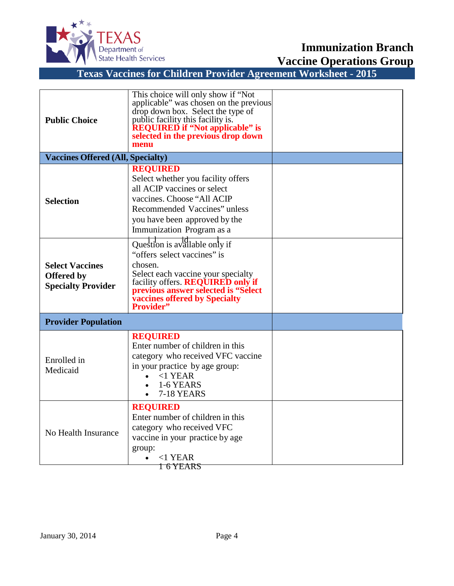

**Vaccine Operations Group**

| <b>Public Choice</b>                                                     | This choice will only show if "Not<br>applicable" was chosen on the previous<br>drop down box. Select the type of<br>public facility this facility is.<br><b>REQUIRED if "Not applicable" is</b><br>selected in the previous drop down<br>menu |  |
|--------------------------------------------------------------------------|------------------------------------------------------------------------------------------------------------------------------------------------------------------------------------------------------------------------------------------------|--|
| <b>Vaccines Offered (All, Specialty)</b>                                 |                                                                                                                                                                                                                                                |  |
| <b>Selection</b>                                                         | <b>REQUIRED</b><br>Select whether you facility offers<br>all ACIP vaccines or select<br>vaccines. Choose "All ACIP<br>Recommended Vaccines" unless<br>you have been approved by the<br>Immunization Program as a                               |  |
| <b>Select Vaccines</b><br><b>Offered by</b><br><b>Specialty Provider</b> | Question is available only if<br>"offers select vaccines" is<br>chosen.<br>Select each vaccine your specialty<br>facility offers. REQUIRED only if<br>previous answer selected is "Select<br>vaccines offered by Specialty<br>Provider"        |  |
| <b>Provider Population</b>                                               |                                                                                                                                                                                                                                                |  |
| Enrolled in<br>Medicaid                                                  | <b>REQUIRED</b><br>Enter number of children in this<br>category who received VFC vaccine<br>in your practice by age group:<br>$<1$ YEAR<br>$\bullet$<br>1-6 YEARS<br><b>7-18 YEARS</b><br>$\bullet$                                            |  |
| No Health Insurance                                                      | <b>REQUIRED</b><br>Enter number of children in this<br>category who received VFC<br>vaccine in your practice by age<br>group:<br>$<$ 1 YEAR<br><del>1 6 YEARS</del>                                                                            |  |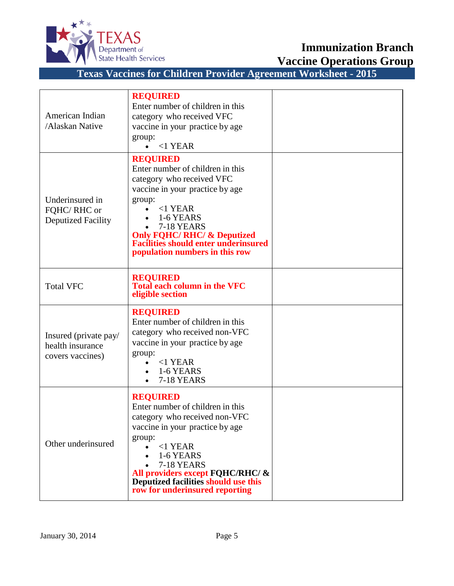

**Vaccine Operations Group**

| American Indian<br>/Alaskan Native                            | <b>REQUIRED</b><br>Enter number of children in this<br>category who received VFC<br>vaccine in your practice by age<br>group:<br>$<1$ YEAR                                                                                                                                                               |  |
|---------------------------------------------------------------|----------------------------------------------------------------------------------------------------------------------------------------------------------------------------------------------------------------------------------------------------------------------------------------------------------|--|
| Underinsured in<br>FQHC/RHC or<br><b>Deputized Facility</b>   | <b>REQUIRED</b><br>Enter number of children in this<br>category who received VFC<br>vaccine in your practice by age<br>group:<br>$<$ 1 YEAR<br>1-6 YEARS<br><b>7-18 YEARS</b><br><b>Only FQHC/ RHC/ &amp; Deputized</b><br><b>Facilities should enter underinsured</b><br>population numbers in this row |  |
| <b>Total VFC</b>                                              | <b>REQUIRED</b><br><b>Total each column in the VFC</b><br>eligible section                                                                                                                                                                                                                               |  |
| Insured (private pay/<br>health insurance<br>covers vaccines) | <b>REQUIRED</b><br>Enter number of children in this<br>category who received non-VFC<br>vaccine in your practice by age<br>group:<br>$<$ 1 YEAR<br>$\bullet$<br>1-6 YEARS<br>7-18 YEARS                                                                                                                  |  |
| Other underinsured                                            | <b>REQUIRED</b><br>Enter number of children in this<br>category who received non-VFC<br>vaccine in your practice by age<br>group:<br>$<$ 1 YEAR<br>$\bullet$<br>1-6 YEARS<br>7-18 YEARS<br>All providers except FQHC/RHC/ &<br>Deputized facilities should use this<br>row for underinsured reporting    |  |